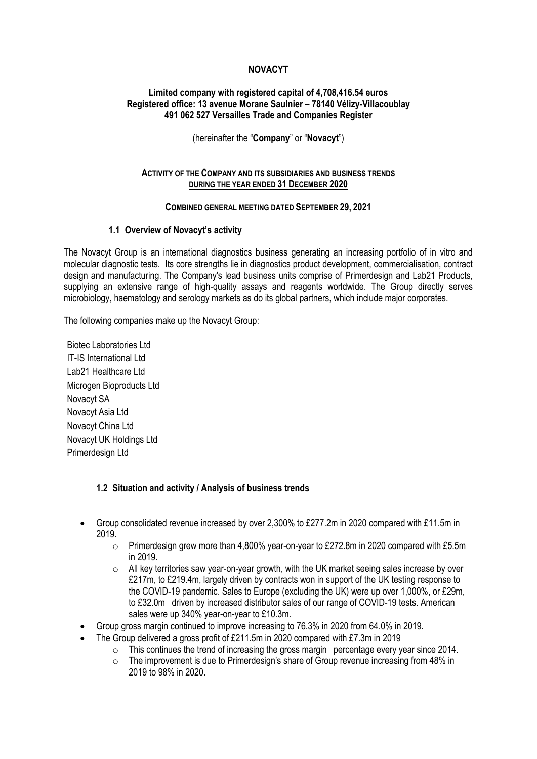## **NOVACYT**

### **Limited company with registered capital of 4,708,416.54 euros Registered office: 13 avenue Morane Saulnier – 78140 Vélizy-Villacoublay 491 062 527 Versailles Trade and Companies Register**

(hereinafter the "**Company**" or "**Novacyt**")

### **ACTIVITY OF THE COMPANY AND ITS SUBSIDIARIES AND BUSINESS TRENDS DURING THE YEAR ENDED 31 DECEMBER 2020**

### **COMBINED GENERAL MEETING DATED SEPTEMBER 29, 2021**

### **1.1 Overview of Novacyt's activity**

The Novacyt Group is an international diagnostics business generating an increasing portfolio of in vitro and molecular diagnostic tests. Its core strengths lie in diagnostics product development, commercialisation, contract design and manufacturing. The Company's lead business units comprise of Primerdesign and Lab21 Products, supplying an extensive range of high-quality assays and reagents worldwide. The Group directly serves microbiology, haematology and serology markets as do its global partners, which include major corporates.

The following companies make up the Novacyt Group:

Biotec Laboratories Ltd IT-IS International Ltd Lab21 Healthcare Ltd Microgen Bioproducts Ltd Novacyt SA Novacyt Asia Ltd Novacyt China Ltd Novacyt UK Holdings Ltd Primerdesign Ltd

### **1.2 Situation and activity / Analysis of business trends**

- Group consolidated revenue increased by over 2,300% to £277.2m in 2020 compared with £11.5m in 2019.
	- $\circ$  Primerdesign grew more than 4,800% year-on-year to £272.8m in 2020 compared with £5.5m in 2019.
	- $\circ$  All key territories saw year-on-year growth, with the UK market seeing sales increase by over £217m, to £219.4m, largely driven by contracts won in support of the UK testing response to the COVID-19 pandemic. Sales to Europe (excluding the UK) were up over 1,000%, or £29m, to £32.0m driven by increased distributor sales of our range of COVID-19 tests. American sales were up 340% year-on-year to £10.3m.
- Group gross margin continued to improve increasing to 76.3% in 2020 from 64.0% in 2019.
- The Group delivered a gross profit of  $£211.5m$  in 2020 compared with  $£7.3m$  in 2019
	- o This continues the trend of increasing the gross margin percentage every year since 2014.
	- $\circ$  The improvement is due to Primerdesign's share of Group revenue increasing from 48% in 2019 to 98% in 2020.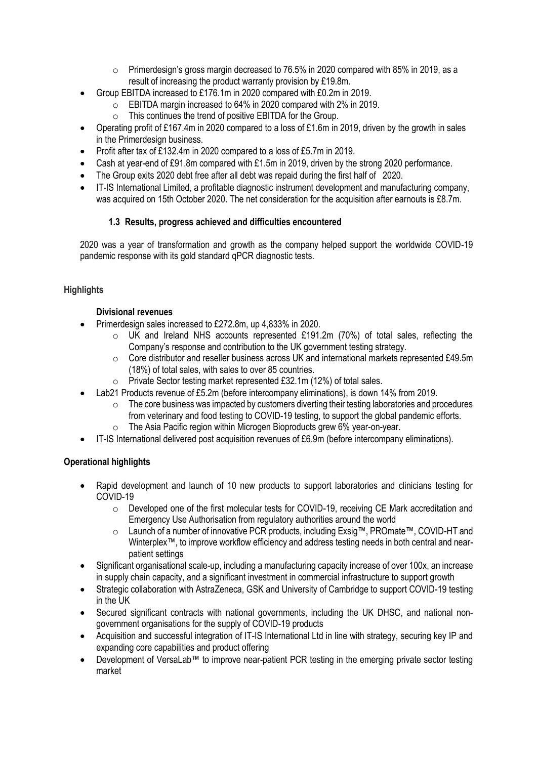- $\circ$  Primerdesign's gross margin decreased to 76.5% in 2020 compared with 85% in 2019, as a result of increasing the product warranty provision by £19.8m.
- Group EBITDA increased to £176.1m in 2020 compared with £0.2m in 2019.
	- o EBITDA margin increased to 64% in 2020 compared with 2% in 2019.
		- $\circ$  This continues the trend of positive EBITDA for the Group.
- Operating profit of £167.4m in 2020 compared to a loss of £1.6m in 2019, driven by the growth in sales in the Primerdesign business.
- Profit after tax of £132.4m in 2020 compared to a loss of £5.7m in 2019.
- Cash at year-end of £91.8m compared with £1.5m in 2019, driven by the strong 2020 performance.
- The Group exits 2020 debt free after all debt was repaid during the first half of 2020.
- IT-IS International Limited, a profitable diagnostic instrument development and manufacturing company, was acquired on 15th October 2020. The net consideration for the acquisition after earnouts is £8.7m.

# **1.3 Results, progress achieved and difficulties encountered**

2020 was a year of transformation and growth as the company helped support the worldwide COVID-19 pandemic response with its gold standard qPCR diagnostic tests.

# **Highlights**

## **Divisional revenues**

- Primerdesign sales increased to £272.8m, up 4,833% in 2020.
	- $\circ$  UK and Ireland NHS accounts represented £191.2m (70%) of total sales, reflecting the Company's response and contribution to the UK government testing strategy.
	- $\circ$  Core distributor and reseller business across UK and international markets represented £49.5m (18%) of total sales, with sales to over 85 countries.
	- o Private Sector testing market represented £32.1m (12%) of total sales.
- Lab21 Products revenue of £5.2m (before intercompany eliminations), is down 14% from 2019.
	- $\circ$  The core business was impacted by customers diverting their testing laboratories and procedures from veterinary and food testing to COVID-19 testing, to support the global pandemic efforts.
	- o The Asia Pacific region within Microgen Bioproducts grew 6% year-on-year.
- IT-IS International delivered post acquisition revenues of £6.9m (before intercompany eliminations).

# **Operational highlights**

- Rapid development and launch of 10 new products to support laboratories and clinicians testing for COVID-19
	- $\circ$  Developed one of the first molecular tests for COVID-19, receiving CE Mark accreditation and Emergency Use Authorisation from regulatory authorities around the world
	- o Launch of a number of innovative PCR products, including Exsig™, PROmate™, COVID-HT and Winterplex™, to improve workflow efficiency and address testing needs in both central and nearpatient settings
- Significant organisational scale-up, including a manufacturing capacity increase of over 100x, an increase in supply chain capacity, and a significant investment in commercial infrastructure to support growth
- Strategic collaboration with AstraZeneca, GSK and University of Cambridge to support COVID-19 testing in the UK
- Secured significant contracts with national governments, including the UK DHSC, and national nongovernment organisations for the supply of COVID-19 products
- Acquisition and successful integration of IT-IS International Ltd in line with strategy, securing key IP and expanding core capabilities and product offering
- Development of VersaLab™ to improve near-patient PCR testing in the emerging private sector testing market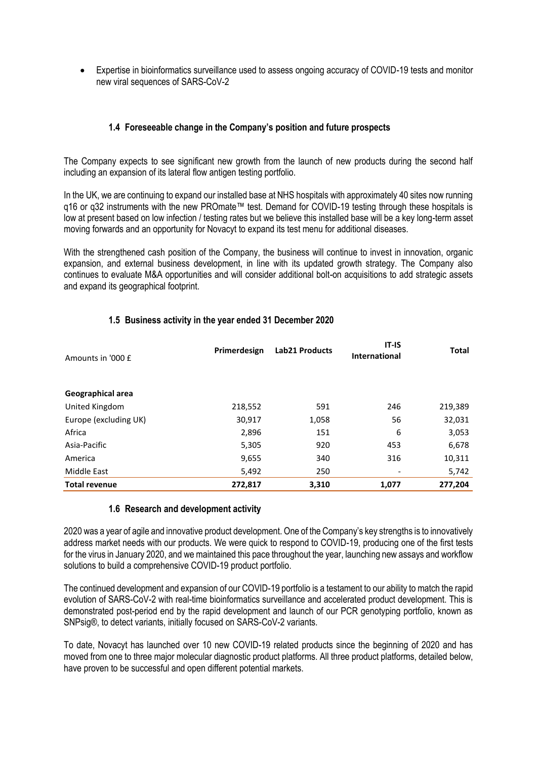• Expertise in bioinformatics surveillance used to assess ongoing accuracy of COVID-19 tests and monitor new viral sequences of SARS-CoV-2

## **1.4 Foreseeable change in the Company's position and future prospects**

The Company expects to see significant new growth from the launch of new products during the second half including an expansion of its lateral flow antigen testing portfolio.

In the UK, we are continuing to expand our installed base at NHS hospitals with approximately 40 sites now running q16 or q32 instruments with the new PROmate™ test. Demand for COVID-19 testing through these hospitals is low at present based on low infection / testing rates but we believe this installed base will be a key long-term asset moving forwards and an opportunity for Novacyt to expand its test menu for additional diseases.

With the strengthened cash position of the Company, the business will continue to invest in innovation, organic expansion, and external business development, in line with its updated growth strategy. The Company also continues to evaluate M&A opportunities and will consider additional bolt-on acquisitions to add strategic assets and expand its geographical footprint.

| Amounts in '000 £     | Primerdesign | Lab21 Products | $IT-IS$<br><b>International</b> | <b>Total</b> |
|-----------------------|--------------|----------------|---------------------------------|--------------|
| Geographical area     |              |                |                                 |              |
| United Kingdom        | 218,552      | 591            | 246                             | 219,389      |
| Europe (excluding UK) | 30,917       | 1,058          | 56                              | 32,031       |
| Africa                | 2,896        | 151            | 6                               | 3,053        |
| Asia-Pacific          | 5,305        | 920            | 453                             | 6,678        |
| America               | 9,655        | 340            | 316                             | 10,311       |
| Middle East           | 5,492        | 250            |                                 | 5,742        |
| <b>Total revenue</b>  | 272,817      | 3,310          | 1,077                           | 277,204      |

### **1.5 Business activity in the year ended 31 December 2020**

### **1.6 Research and development activity**

2020 was a year of agile and innovative product development. One of the Company's key strengths is to innovatively address market needs with our products. We were quick to respond to COVID-19, producing one of the first tests for the virus in January 2020, and we maintained this pace throughout the year, launching new assays and workflow solutions to build a comprehensive COVID-19 product portfolio.

The continued development and expansion of our COVID-19 portfolio is a testament to our ability to match the rapid evolution of SARS-CoV-2 with real-time bioinformatics surveillance and accelerated product development. This is demonstrated post-period end by the rapid development and launch of our PCR genotyping portfolio, known as SNPsig®, to detect variants, initially focused on SARS-CoV-2 variants.

To date, Novacyt has launched over 10 new COVID-19 related products since the beginning of 2020 and has moved from one to three major molecular diagnostic product platforms. All three product platforms, detailed below, have proven to be successful and open different potential markets.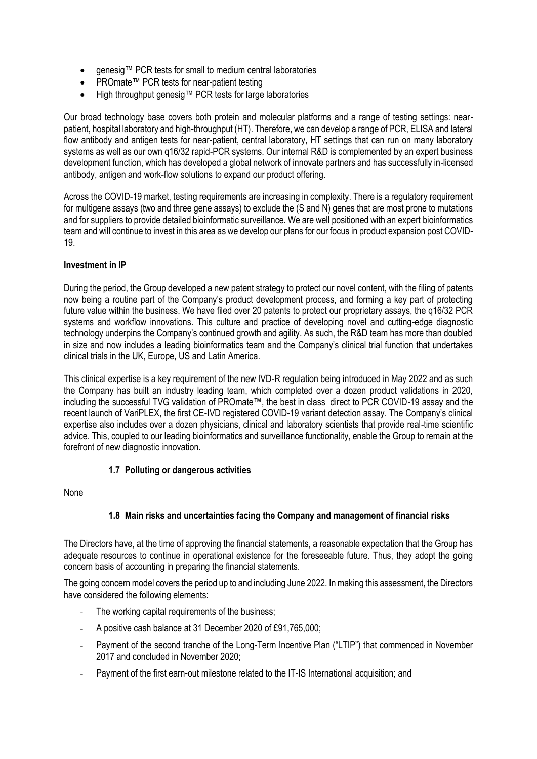- genesig™ PCR tests for small to medium central laboratories
- PROmate™ PCR tests for near-patient testing
- High throughput genesig™ PCR tests for large laboratories

Our broad technology base covers both protein and molecular platforms and a range of testing settings: nearpatient, hospital laboratory and high-throughput (HT). Therefore, we can develop a range of PCR, ELISA and lateral flow antibody and antigen tests for near-patient, central laboratory, HT settings that can run on many laboratory systems as well as our own q16/32 rapid-PCR systems. Our internal R&D is complemented by an expert business development function, which has developed a global network of innovate partners and has successfully in-licensed antibody, antigen and work-flow solutions to expand our product offering.

Across the COVID-19 market, testing requirements are increasing in complexity. There is a regulatory requirement for multigene assays (two and three gene assays) to exclude the (S and N) genes that are most prone to mutations and for suppliers to provide detailed bioinformatic surveillance. We are well positioned with an expert bioinformatics team and will continue to invest in this area as we develop our plans for our focus in product expansion post COVID-19.

## **Investment in IP**

During the period, the Group developed a new patent strategy to protect our novel content, with the filing of patents now being a routine part of the Company's product development process, and forming a key part of protecting future value within the business. We have filed over 20 patents to protect our proprietary assays, the q16/32 PCR systems and workflow innovations. This culture and practice of developing novel and cutting-edge diagnostic technology underpins the Company's continued growth and agility. As such, the R&D team has more than doubled in size and now includes a leading bioinformatics team and the Company's clinical trial function that undertakes clinical trials in the UK, Europe, US and Latin America.

This clinical expertise is a key requirement of the new IVD-R regulation being introduced in May 2022 and as such the Company has built an industry leading team, which completed over a dozen product validations in 2020, including the successful TVG validation of PROmate™, the best in class direct to PCR COVID-19 assay and the recent launch of VariPLEX, the first CE-IVD registered COVID-19 variant detection assay. The Company's clinical expertise also includes over a dozen physicians, clinical and laboratory scientists that provide real-time scientific advice. This, coupled to our leading bioinformatics and surveillance functionality, enable the Group to remain at the forefront of new diagnostic innovation.

## **1.7 Polluting or dangerous activities**

None

## **1.8 Main risks and uncertainties facing the Company and management of financial risks**

The Directors have, at the time of approving the financial statements, a reasonable expectation that the Group has adequate resources to continue in operational existence for the foreseeable future. Thus, they adopt the going concern basis of accounting in preparing the financial statements.

The going concern model covers the period up to and including June 2022. In making this assessment, the Directors have considered the following elements:

- The working capital requirements of the business;
- A positive cash balance at 31 December 2020 of £91,765,000;
- Payment of the second tranche of the Long-Term Incentive Plan ("LTIP") that commenced in November 2017 and concluded in November 2020;
- Payment of the first earn-out milestone related to the IT-IS International acquisition; and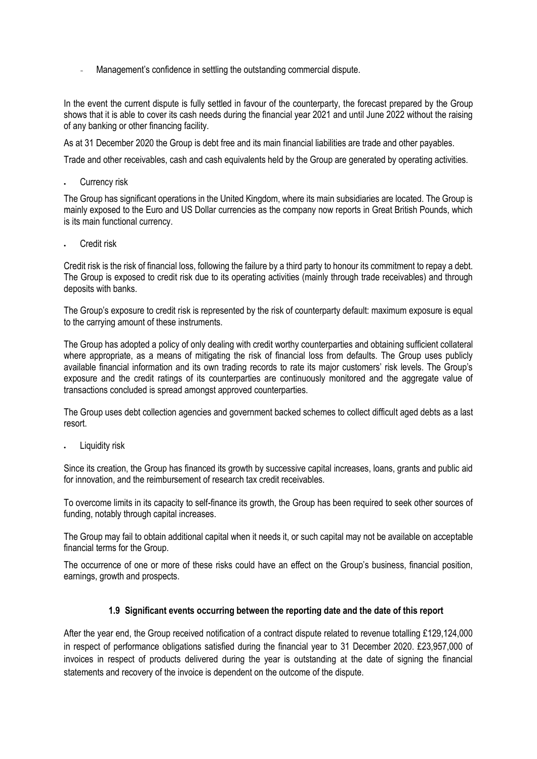Management's confidence in settling the outstanding commercial dispute.

In the event the current dispute is fully settled in favour of the counterparty, the forecast prepared by the Group shows that it is able to cover its cash needs during the financial year 2021 and until June 2022 without the raising of any banking or other financing facility.

As at 31 December 2020 the Group is debt free and its main financial liabilities are trade and other payables.

Trade and other receivables, cash and cash equivalents held by the Group are generated by operating activities.

Currency risk

The Group has significant operations in the United Kingdom, where its main subsidiaries are located. The Group is mainly exposed to the Euro and US Dollar currencies as the company now reports in Great British Pounds, which is its main functional currency.

Credit risk

Credit risk is the risk of financial loss, following the failure by a third party to honour its commitment to repay a debt. The Group is exposed to credit risk due to its operating activities (mainly through trade receivables) and through deposits with banks.

The Group's exposure to credit risk is represented by the risk of counterparty default: maximum exposure is equal to the carrying amount of these instruments.

The Group has adopted a policy of only dealing with credit worthy counterparties and obtaining sufficient collateral where appropriate, as a means of mitigating the risk of financial loss from defaults. The Group uses publicly available financial information and its own trading records to rate its major customers' risk levels. The Group's exposure and the credit ratings of its counterparties are continuously monitored and the aggregate value of transactions concluded is spread amongst approved counterparties.

The Group uses debt collection agencies and government backed schemes to collect difficult aged debts as a last resort.

Liquidity risk

Since its creation, the Group has financed its growth by successive capital increases, loans, grants and public aid for innovation, and the reimbursement of research tax credit receivables.

To overcome limits in its capacity to self-finance its growth, the Group has been required to seek other sources of funding, notably through capital increases.

The Group may fail to obtain additional capital when it needs it, or such capital may not be available on acceptable financial terms for the Group.

The occurrence of one or more of these risks could have an effect on the Group's business, financial position, earnings, growth and prospects.

### **1.9 Significant events occurring between the reporting date and the date of this report**

After the year end, the Group received notification of a contract dispute related to revenue totalling £129,124,000 in respect of performance obligations satisfied during the financial year to 31 December 2020. £23,957,000 of invoices in respect of products delivered during the year is outstanding at the date of signing the financial statements and recovery of the invoice is dependent on the outcome of the dispute.